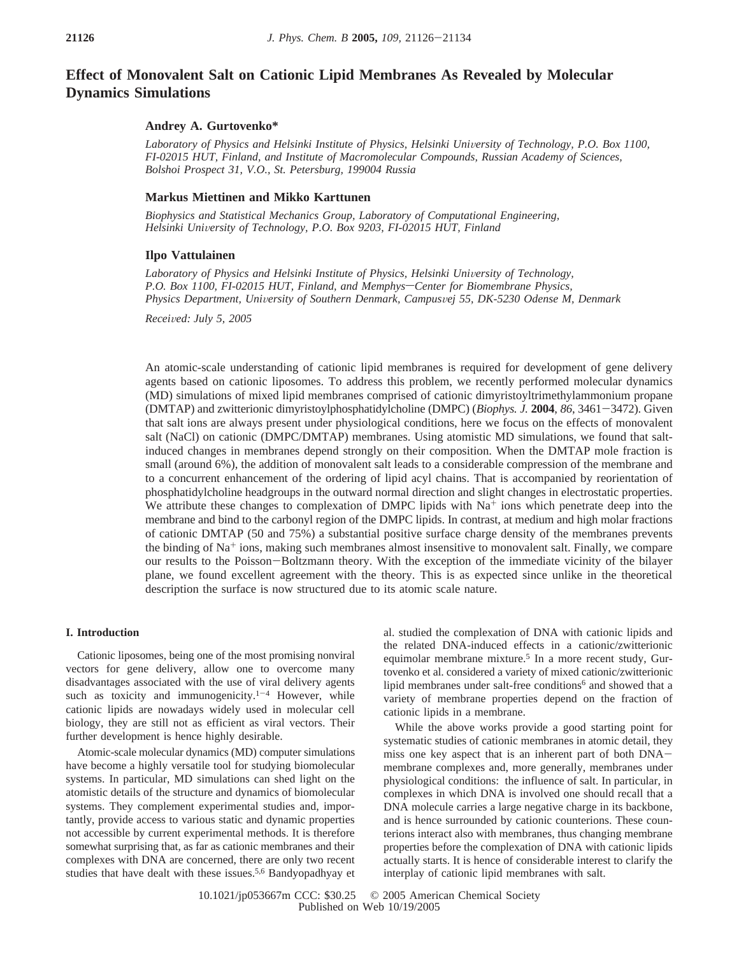# **Effect of Monovalent Salt on Cationic Lipid Membranes As Revealed by Molecular Dynamics Simulations**

# **Andrey A. Gurtovenko\***

Laboratory of Physics and Helsinki Institute of Physics, Helsinki University of Technology, P.O. Box 1100, *FI-02015 HUT, Finland, and Institute of Macromolecular Compounds, Russian Academy of Sciences, Bolshoi Prospect 31, V.O., St. Petersburg, 199004 Russia*

# **Markus Miettinen and Mikko Karttunen**

*Biophysics and Statistical Mechanics Group, Laboratory of Computational Engineering, Helsinki Uni*V*ersity of Technology, P.O. Box 9203, FI-02015 HUT, Finland*

# **Ilpo Vattulainen**

Laboratory of Physics and Helsinki Institute of Physics, Helsinki University of Technology, *P.O. Box 1100, FI-02015 HUT, Finland, and Memphys*s*Center for Biomembrane Physics, Physics Department, Uni*V*ersity of Southern Denmark, Campus*V*ej 55, DK-5230 Odense M, Denmark*

*Recei*V*ed: July 5, 2005*

An atomic-scale understanding of cationic lipid membranes is required for development of gene delivery agents based on cationic liposomes. To address this problem, we recently performed molecular dynamics (MD) simulations of mixed lipid membranes comprised of cationic dimyristoyltrimethylammonium propane (DMTAP) and zwitterionic dimyristoylphosphatidylcholine (DMPC) (*Biophys. J.* **<sup>2004</sup>**, *<sup>86</sup>*, 3461-3472). Given that salt ions are always present under physiological conditions, here we focus on the effects of monovalent salt (NaCl) on cationic (DMPC/DMTAP) membranes. Using atomistic MD simulations, we found that saltinduced changes in membranes depend strongly on their composition. When the DMTAP mole fraction is small (around 6%), the addition of monovalent salt leads to a considerable compression of the membrane and to a concurrent enhancement of the ordering of lipid acyl chains. That is accompanied by reorientation of phosphatidylcholine headgroups in the outward normal direction and slight changes in electrostatic properties. We attribute these changes to complexation of DMPC lipids with  $Na<sup>+</sup>$  ions which penetrate deep into the membrane and bind to the carbonyl region of the DMPC lipids. In contrast, at medium and high molar fractions of cationic DMTAP (50 and 75%) a substantial positive surface charge density of the membranes prevents the binding of  $Na<sup>+</sup>$  ions, making such membranes almost insensitive to monovalent salt. Finally, we compare our results to the Poisson-Boltzmann theory. With the exception of the immediate vicinity of the bilayer plane, we found excellent agreement with the theory. This is as expected since unlike in the theoretical description the surface is now structured due to its atomic scale nature.

## **I. Introduction**

Cationic liposomes, being one of the most promising nonviral vectors for gene delivery, allow one to overcome many disadvantages associated with the use of viral delivery agents such as toxicity and immunogenicity. $1-4$  However, while cationic lipids are nowadays widely used in molecular cell biology, they are still not as efficient as viral vectors. Their further development is hence highly desirable.

Atomic-scale molecular dynamics (MD) computer simulations have become a highly versatile tool for studying biomolecular systems. In particular, MD simulations can shed light on the atomistic details of the structure and dynamics of biomolecular systems. They complement experimental studies and, importantly, provide access to various static and dynamic properties not accessible by current experimental methods. It is therefore somewhat surprising that, as far as cationic membranes and their complexes with DNA are concerned, there are only two recent studies that have dealt with these issues.<sup>5,6</sup> Bandyopadhyay et al. studied the complexation of DNA with cationic lipids and the related DNA-induced effects in a cationic/zwitterionic equimolar membrane mixture.<sup>5</sup> In a more recent study, Gurtovenko et al. considered a variety of mixed cationic/zwitterionic lipid membranes under salt-free conditions<sup>6</sup> and showed that a variety of membrane properties depend on the fraction of cationic lipids in a membrane.

While the above works provide a good starting point for systematic studies of cationic membranes in atomic detail, they miss one key aspect that is an inherent part of both DNAmembrane complexes and, more generally, membranes under physiological conditions: the influence of salt. In particular, in complexes in which DNA is involved one should recall that a DNA molecule carries a large negative charge in its backbone, and is hence surrounded by cationic counterions. These counterions interact also with membranes, thus changing membrane properties before the complexation of DNA with cationic lipids actually starts. It is hence of considerable interest to clarify the interplay of cationic lipid membranes with salt.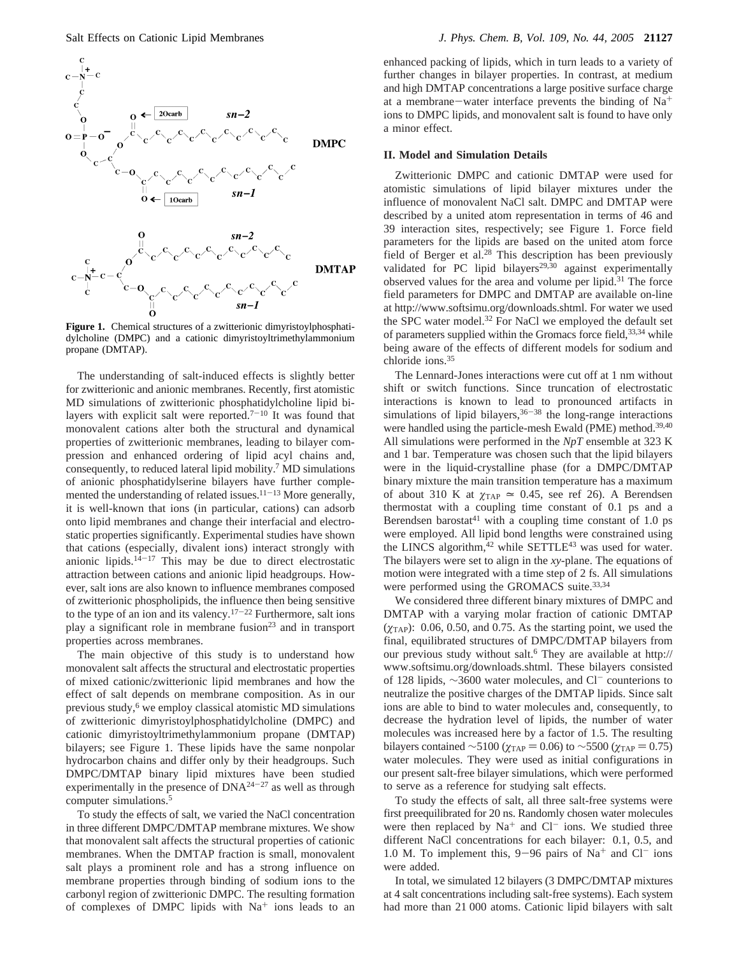

**Figure 1.** Chemical structures of a zwitterionic dimyristoylphosphatidylcholine (DMPC) and a cationic dimyristoyltrimethylammonium propane (DMTAP).

The understanding of salt-induced effects is slightly better for zwitterionic and anionic membranes. Recently, first atomistic MD simulations of zwitterionic phosphatidylcholine lipid bilayers with explicit salt were reported.<sup>7-10</sup> It was found that monovalent cations alter both the structural and dynamical properties of zwitterionic membranes, leading to bilayer compression and enhanced ordering of lipid acyl chains and, consequently, to reduced lateral lipid mobility.7 MD simulations of anionic phosphatidylserine bilayers have further complemented the understanding of related issues. $11-13$  More generally, it is well-known that ions (in particular, cations) can adsorb onto lipid membranes and change their interfacial and electrostatic properties significantly. Experimental studies have shown that cations (especially, divalent ions) interact strongly with anionic lipids. $14-17$  This may be due to direct electrostatic attraction between cations and anionic lipid headgroups. However, salt ions are also known to influence membranes composed of zwitterionic phospholipids, the influence then being sensitive to the type of an ion and its valency.<sup>17-22</sup> Furthermore, salt ions play a significant role in membrane fusion<sup>23</sup> and in transport properties across membranes.

The main objective of this study is to understand how monovalent salt affects the structural and electrostatic properties of mixed cationic/zwitterionic lipid membranes and how the effect of salt depends on membrane composition. As in our previous study,6 we employ classical atomistic MD simulations of zwitterionic dimyristoylphosphatidylcholine (DMPC) and cationic dimyristoyltrimethylammonium propane (DMTAP) bilayers; see Figure 1. These lipids have the same nonpolar hydrocarbon chains and differ only by their headgroups. Such DMPC/DMTAP binary lipid mixtures have been studied experimentally in the presence of  $DNA^{24-27}$  as well as through computer simulations.5

To study the effects of salt, we varied the NaCl concentration in three different DMPC/DMTAP membrane mixtures. We show that monovalent salt affects the structural properties of cationic membranes. When the DMTAP fraction is small, monovalent salt plays a prominent role and has a strong influence on membrane properties through binding of sodium ions to the carbonyl region of zwitterionic DMPC. The resulting formation of complexes of DMPC lipids with  $Na<sup>+</sup>$  ions leads to an

enhanced packing of lipids, which in turn leads to a variety of further changes in bilayer properties. In contrast, at medium and high DMTAP concentrations a large positive surface charge at a membrane-water interface prevents the binding of  $Na<sup>+</sup>$ ions to DMPC lipids, and monovalent salt is found to have only a minor effect.

#### **II. Model and Simulation Details**

Zwitterionic DMPC and cationic DMTAP were used for atomistic simulations of lipid bilayer mixtures under the influence of monovalent NaCl salt. DMPC and DMTAP were described by a united atom representation in terms of 46 and 39 interaction sites, respectively; see Figure 1. Force field parameters for the lipids are based on the united atom force field of Berger et al.<sup>28</sup> This description has been previously validated for PC lipid bilayers<sup>29,30</sup> against experimentally observed values for the area and volume per lipid. $31$  The force field parameters for DMPC and DMTAP are available on-line at http://www.softsimu.org/downloads.shtml. For water we used the SPC water model.<sup>32</sup> For NaCl we employed the default set of parameters supplied within the Gromacs force field,33,34 while being aware of the effects of different models for sodium and chloride ions.35

The Lennard-Jones interactions were cut off at 1 nm without shift or switch functions. Since truncation of electrostatic interactions is known to lead to pronounced artifacts in simulations of lipid bilayers,  $36-38$  the long-range interactions were handled using the particle-mesh Ewald (PME) method.<sup>39,40</sup> All simulations were performed in the *NpT* ensemble at 323 K and 1 bar. Temperature was chosen such that the lipid bilayers were in the liquid-crystalline phase (for a DMPC/DMTAP binary mixture the main transition temperature has a maximum of about 310 K at  $\chi_{TAP} \approx 0.45$ , see ref 26). A Berendsen thermostat with a coupling time constant of 0.1 ps and a Berendsen barostat $41$  with a coupling time constant of 1.0 ps were employed. All lipid bond lengths were constrained using the LINCS algorithm, $42$  while SETTLE $43$  was used for water. The bilayers were set to align in the *xy*-plane. The equations of motion were integrated with a time step of 2 fs. All simulations were performed using the GROMACS suite.<sup>33,34</sup>

We considered three different binary mixtures of DMPC and DMTAP with a varying molar fraction of cationic DMTAP (*ø*TAP): 0.06, 0.50, and 0.75. As the starting point, we used the final, equilibrated structures of DMPC/DMTAP bilayers from our previous study without salt.6 They are available at http:// www.softsimu.org/downloads.shtml. These bilayers consisted of 128 lipids, ∼3600 water molecules, and Cl<sup>-</sup> counterions to neutralize the positive charges of the DMTAP lipids. Since salt ions are able to bind to water molecules and, consequently, to decrease the hydration level of lipids, the number of water molecules was increased here by a factor of 1.5. The resulting bilayers contained ~5100 ( $\chi_{\text{TAP}}$  = 0.06) to ~5500 ( $\chi_{\text{TAP}}$  = 0.75) water molecules. They were used as initial configurations in our present salt-free bilayer simulations, which were performed to serve as a reference for studying salt effects.

To study the effects of salt, all three salt-free systems were first preequilibrated for 20 ns. Randomly chosen water molecules were then replaced by  $Na^+$  and  $Cl^-$  ions. We studied three different NaCl concentrations for each bilayer: 0.1, 0.5, and 1.0 M. To implement this,  $9-96$  pairs of Na<sup>+</sup> and Cl<sup>-</sup> ions were added.

In total, we simulated 12 bilayers (3 DMPC/DMTAP mixtures at 4 salt concentrations including salt-free systems). Each system had more than 21 000 atoms. Cationic lipid bilayers with salt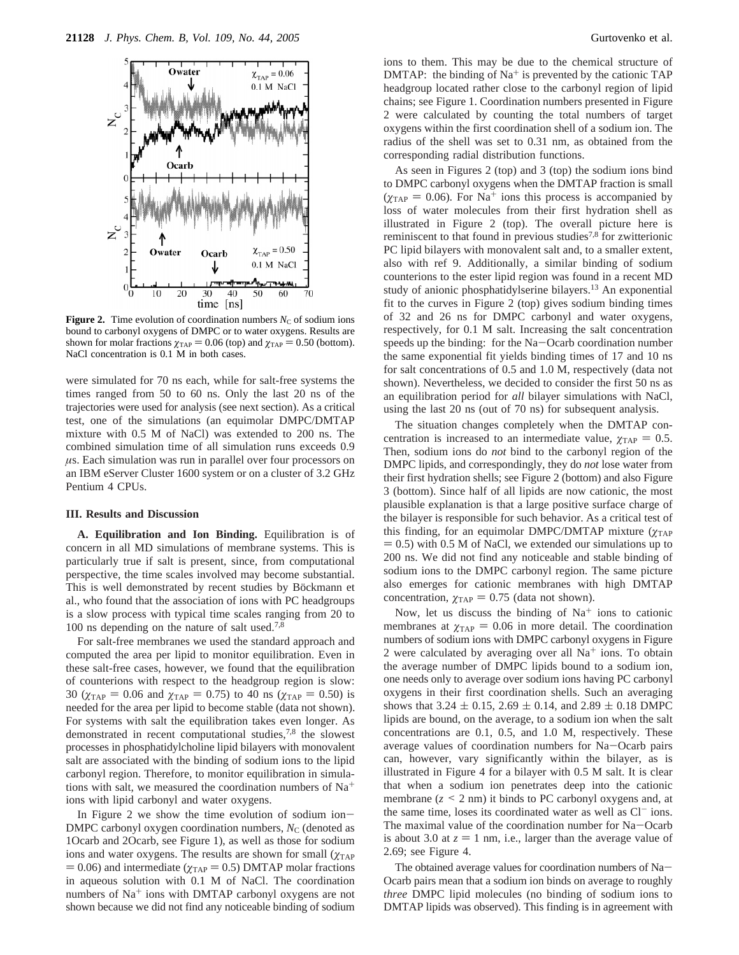

**Figure 2.** Time evolution of coordination numbers  $N_c$  of sodium ions bound to carbonyl oxygens of DMPC or to water oxygens. Results are shown for molar fractions  $\chi_{\text{TAP}} = 0.06$  (top) and  $\chi_{\text{TAP}} = 0.50$  (bottom). NaCl concentration is  $0.1$  M in both cases.

were simulated for 70 ns each, while for salt-free systems the times ranged from 50 to 60 ns. Only the last 20 ns of the trajectories were used for analysis (see next section). As a critical test, one of the simulations (an equimolar DMPC/DMTAP mixture with 0.5 M of NaCl) was extended to 200 ns. The combined simulation time of all simulation runs exceeds 0.9 *µ*s. Each simulation was run in parallel over four processors on an IBM eServer Cluster 1600 system or on a cluster of 3.2 GHz Pentium 4 CPUs.

## **III. Results and Discussion**

**A. Equilibration and Ion Binding.** Equilibration is of concern in all MD simulations of membrane systems. This is particularly true if salt is present, since, from computational perspective, the time scales involved may become substantial. This is well demonstrated by recent studies by Böckmann et al., who found that the association of ions with PC headgroups is a slow process with typical time scales ranging from 20 to 100 ns depending on the nature of salt used.7,8

For salt-free membranes we used the standard approach and computed the area per lipid to monitor equilibration. Even in these salt-free cases, however, we found that the equilibration of counterions with respect to the headgroup region is slow: 30 ( $\chi_{\text{TAP}} = 0.06$  and  $\chi_{\text{TAP}} = 0.75$ ) to 40 ns ( $\chi_{\text{TAP}} = 0.50$ ) is needed for the area per lipid to become stable (data not shown). For systems with salt the equilibration takes even longer. As demonstrated in recent computational studies,7,8 the slowest processes in phosphatidylcholine lipid bilayers with monovalent salt are associated with the binding of sodium ions to the lipid carbonyl region. Therefore, to monitor equilibration in simulations with salt, we measured the coordination numbers of Na+ ions with lipid carbonyl and water oxygens.

In Figure 2 we show the time evolution of sodium ion-DMPC carbonyl oxygen coordination numbers, *N*<sub>C</sub> (denoted as 1Ocarb and 2Ocarb, see Figure 1), as well as those for sodium ions and water oxygens. The results are shown for small (*ø*TAP  $= 0.06$ ) and intermediate ( $\chi_{\text{TAP}} = 0.5$ ) DMTAP molar fractions in aqueous solution with 0.1 M of NaCl. The coordination numbers of  $Na<sup>+</sup>$  ions with DMTAP carbonyl oxygens are not shown because we did not find any noticeable binding of sodium

ions to them. This may be due to the chemical structure of DMTAP: the binding of  $Na<sup>+</sup>$  is prevented by the cationic TAP headgroup located rather close to the carbonyl region of lipid chains; see Figure 1. Coordination numbers presented in Figure 2 were calculated by counting the total numbers of target oxygens within the first coordination shell of a sodium ion. The radius of the shell was set to 0.31 nm, as obtained from the corresponding radial distribution functions.

As seen in Figures 2 (top) and 3 (top) the sodium ions bind to DMPC carbonyl oxygens when the DMTAP fraction is small  $(\chi_{TAP} = 0.06)$ . For Na<sup>+</sup> ions this process is accompanied by loss of water molecules from their first hydration shell as illustrated in Figure 2 (top). The overall picture here is reminiscent to that found in previous studies<sup>7,8</sup> for zwitterionic PC lipid bilayers with monovalent salt and, to a smaller extent, also with ref 9. Additionally, a similar binding of sodium counterions to the ester lipid region was found in a recent MD study of anionic phosphatidylserine bilayers.<sup>13</sup> An exponential fit to the curves in Figure 2 (top) gives sodium binding times of 32 and 26 ns for DMPC carbonyl and water oxygens, respectively, for 0.1 M salt. Increasing the salt concentration speeds up the binding: for the Na-Ocarb coordination number the same exponential fit yields binding times of 17 and 10 ns for salt concentrations of 0.5 and 1.0 M, respectively (data not shown). Nevertheless, we decided to consider the first 50 ns as an equilibration period for *all* bilayer simulations with NaCl, using the last 20 ns (out of 70 ns) for subsequent analysis.

The situation changes completely when the DMTAP concentration is increased to an intermediate value,  $\gamma_{\text{TAP}} = 0.5$ . Then, sodium ions do *not* bind to the carbonyl region of the DMPC lipids, and correspondingly, they do *not* lose water from their first hydration shells; see Figure 2 (bottom) and also Figure 3 (bottom). Since half of all lipids are now cationic, the most plausible explanation is that a large positive surface charge of the bilayer is responsible for such behavior. As a critical test of this finding, for an equimolar DMPC/DMTAP mixture ( $\gamma_{TAP}$ )  $= 0.5$ ) with 0.5 M of NaCl, we extended our simulations up to 200 ns. We did not find any noticeable and stable binding of sodium ions to the DMPC carbonyl region. The same picture also emerges for cationic membranes with high DMTAP concentration,  $\chi_{TAP} = 0.75$  (data not shown).

Now, let us discuss the binding of  $Na<sup>+</sup>$  ions to cationic membranes at  $\gamma_{\text{TAP}} = 0.06$  in more detail. The coordination numbers of sodium ions with DMPC carbonyl oxygens in Figure 2 were calculated by averaging over all  $Na<sup>+</sup>$  ions. To obtain the average number of DMPC lipids bound to a sodium ion, one needs only to average over sodium ions having PC carbonyl oxygens in their first coordination shells. Such an averaging shows that  $3.24 \pm 0.15$ ,  $2.69 \pm 0.14$ , and  $2.89 \pm 0.18$  DMPC lipids are bound, on the average, to a sodium ion when the salt concentrations are 0.1, 0.5, and 1.0 M, respectively. These average values of coordination numbers for Na-Ocarb pairs can, however, vary significantly within the bilayer, as is illustrated in Figure 4 for a bilayer with 0.5 M salt. It is clear that when a sodium ion penetrates deep into the cationic membrane  $(z \leq 2$  nm) it binds to PC carbonyl oxygens and, at the same time, loses its coordinated water as well as  $Cl<sup>-</sup>$  ions. The maximal value of the coordination number for Na-Ocarb is about 3.0 at  $z = 1$  nm, i.e., larger than the average value of 2.69; see Figure 4.

The obtained average values for coordination numbers of Na-Ocarb pairs mean that a sodium ion binds on average to roughly *three* DMPC lipid molecules (no binding of sodium ions to DMTAP lipids was observed). This finding is in agreement with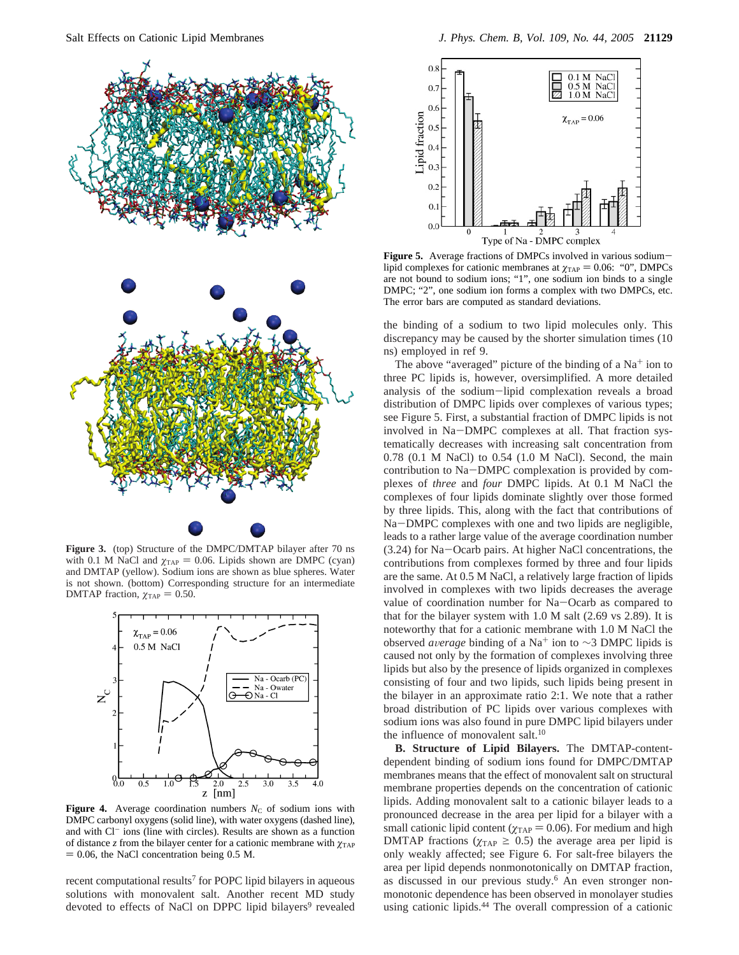

**Figure 3.** (top) Structure of the DMPC/DMTAP bilayer after 70 ns with 0.1 M NaCl and  $\gamma_{TAP} = 0.06$ . Lipids shown are DMPC (cyan) and DMTAP (yellow). Sodium ions are shown as blue spheres. Water is not shown. (bottom) Corresponding structure for an intermediate DMTAP fraction,  $\chi_{\text{TAP}} = 0.50$ .



**Figure 4.** Average coordination numbers  $N_C$  of sodium ions with DMPC carbonyl oxygens (solid line), with water oxygens (dashed line), and with Cl- ions (line with circles). Results are shown as a function of distance  $z$  from the bilayer center for a cationic membrane with  $\chi_{\text{TAP}}$  $= 0.06$ , the NaCl concentration being 0.5 M.

recent computational results<sup>7</sup> for POPC lipid bilayers in aqueous solutions with monovalent salt. Another recent MD study devoted to effects of NaCl on DPPC lipid bilayers<sup>9</sup> revealed



**Figure 5.** Average fractions of DMPCs involved in various sodiumlipid complexes for cationic membranes at  $\chi_{TAP} = 0.06$ : "0", DMPCs are not bound to sodium ions; "1", one sodium ion binds to a single DMPC; "2", one sodium ion forms a complex with two DMPCs, etc. The error bars are computed as standard deviations.

the binding of a sodium to two lipid molecules only. This discrepancy may be caused by the shorter simulation times (10 ns) employed in ref 9.

The above "averaged" picture of the binding of a  $Na<sup>+</sup>$  ion to three PC lipids is, however, oversimplified. A more detailed analysis of the sodium-lipid complexation reveals a broad distribution of DMPC lipids over complexes of various types; see Figure 5. First, a substantial fraction of DMPC lipids is not involved in Na-DMPC complexes at all. That fraction systematically decreases with increasing salt concentration from 0.78 (0.1 M NaCl) to 0.54 (1.0 M NaCl). Second, the main contribution to Na-DMPC complexation is provided by complexes of *three* and *four* DMPC lipids. At 0.1 M NaCl the complexes of four lipids dominate slightly over those formed by three lipids. This, along with the fact that contributions of Na-DMPC complexes with one and two lipids are negligible, leads to a rather large value of the average coordination number (3.24) for Na-Ocarb pairs. At higher NaCl concentrations, the contributions from complexes formed by three and four lipids are the same. At 0.5 M NaCl, a relatively large fraction of lipids involved in complexes with two lipids decreases the average value of coordination number for Na-Ocarb as compared to that for the bilayer system with 1.0 M salt (2.69 vs 2.89). It is noteworthy that for a cationic membrane with 1.0 M NaCl the observed *<sup>a</sup>*V*erage* binding of a Na<sup>+</sup> ion to <sup>∼</sup>3 DMPC lipids is caused not only by the formation of complexes involving three lipids but also by the presence of lipids organized in complexes consisting of four and two lipids, such lipids being present in the bilayer in an approximate ratio 2:1. We note that a rather broad distribution of PC lipids over various complexes with sodium ions was also found in pure DMPC lipid bilayers under the influence of monovalent salt.<sup>10</sup>

**B. Structure of Lipid Bilayers.** The DMTAP-contentdependent binding of sodium ions found for DMPC/DMTAP membranes means that the effect of monovalent salt on structural membrane properties depends on the concentration of cationic lipids. Adding monovalent salt to a cationic bilayer leads to a pronounced decrease in the area per lipid for a bilayer with a small cationic lipid content ( $\chi_{\text{TAP}} = 0.06$ ). For medium and high DMTAP fractions ( $\chi_{\text{TAP}} \geq 0.5$ ) the average area per lipid is only weakly affected; see Figure 6. For salt-free bilayers the area per lipid depends nonmonotonically on DMTAP fraction, as discussed in our previous study.<sup>6</sup> An even stronger nonmonotonic dependence has been observed in monolayer studies using cationic lipids.44 The overall compression of a cationic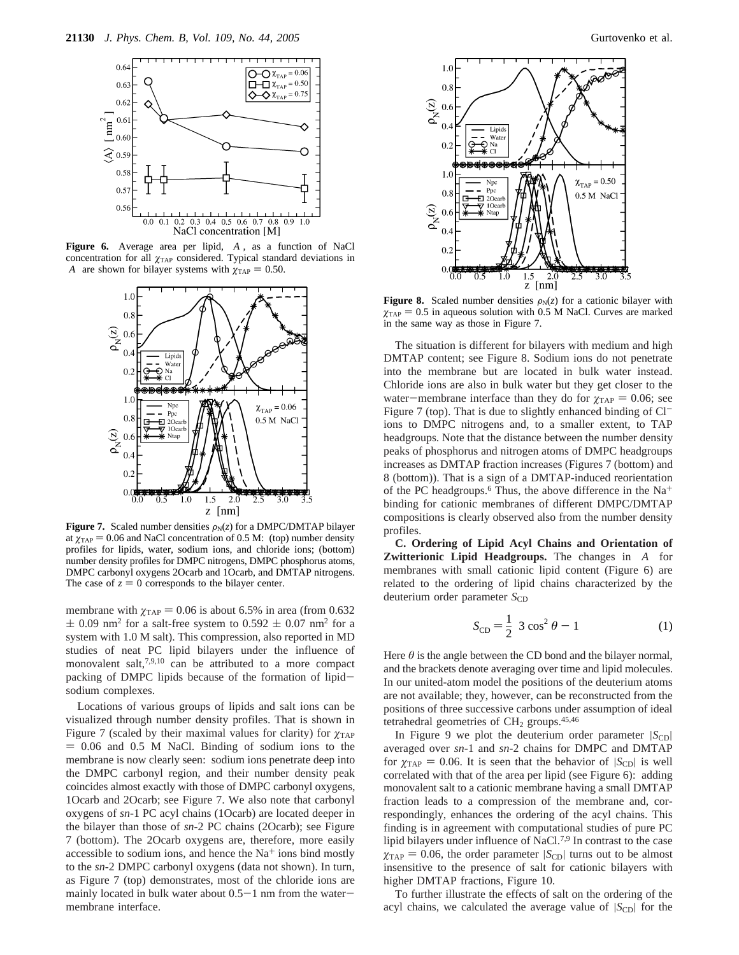

**Figure 6.** Average area per lipid, 〈*A*〉, as a function of NaCl concentration for all  $\chi_{\text{TAP}}$  considered. Typical standard deviations in  $\langle A \rangle$  are shown for bilayer systems with  $\chi_{\text{TAP}} = 0.50$ .



**Figure 7.** Scaled number densities  $\rho_N(z)$  for a DMPC/DMTAP bilayer at  $\gamma_{\text{TAP}} = 0.06$  and NaCl concentration of 0.5 M: (top) number density profiles for lipids, water, sodium ions, and chloride ions; (bottom) number density profiles for DMPC nitrogens, DMPC phosphorus atoms, DMPC carbonyl oxygens 2Ocarb and 1Ocarb, and DMTAP nitrogens. The case of  $z = 0$  corresponds to the bilayer center.

membrane with  $\chi_{\text{TAP}} = 0.06$  is about 6.5% in area (from 0.632)  $\pm$  0.09 nm<sup>2</sup> for a salt-free system to 0.592  $\pm$  0.07 nm<sup>2</sup> for a system with 1.0 M salt). This compression, also reported in MD studies of neat PC lipid bilayers under the influence of monovalent salt, $7,9,10$  can be attributed to a more compact packing of DMPC lipids because of the formation of lipidsodium complexes.

Locations of various groups of lipids and salt ions can be visualized through number density profiles. That is shown in Figure 7 (scaled by their maximal values for clarity) for  $\chi_{TAP}$  $= 0.06$  and 0.5 M NaCl. Binding of sodium ions to the membrane is now clearly seen: sodium ions penetrate deep into the DMPC carbonyl region, and their number density peak coincides almost exactly with those of DMPC carbonyl oxygens, 1Ocarb and 2Ocarb; see Figure 7. We also note that carbonyl oxygens of *sn*-1 PC acyl chains (1Ocarb) are located deeper in the bilayer than those of *sn*-2 PC chains (2Ocarb); see Figure 7 (bottom). The 2Ocarb oxygens are, therefore, more easily accessible to sodium ions, and hence the  $Na<sup>+</sup>$  ions bind mostly to the *sn*-2 DMPC carbonyl oxygens (data not shown). In turn, as Figure 7 (top) demonstrates, most of the chloride ions are mainly located in bulk water about  $0.5-1$  nm from the watermembrane interface.



**Figure 8.** Scaled number densities  $\rho_N(z)$  for a cationic bilayer with  $\chi_{\text{TAP}} = 0.5$  in aqueous solution with 0.5 M NaCl. Curves are marked in the same way as those in Figure 7.

The situation is different for bilayers with medium and high DMTAP content; see Figure 8. Sodium ions do not penetrate into the membrane but are located in bulk water instead. Chloride ions are also in bulk water but they get closer to the water-membrane interface than they do for  $\chi_{\text{TAP}} = 0.06$ ; see Figure 7 (top). That is due to slightly enhanced binding of Cl<sup>-</sup> ions to DMPC nitrogens and, to a smaller extent, to TAP headgroups. Note that the distance between the number density peaks of phosphorus and nitrogen atoms of DMPC headgroups increases as DMTAP fraction increases (Figures 7 (bottom) and 8 (bottom)). That is a sign of a DMTAP-induced reorientation of the PC headgroups.<sup>6</sup> Thus, the above difference in the  $Na<sup>+</sup>$ binding for cationic membranes of different DMPC/DMTAP compositions is clearly observed also from the number density profiles.

**C. Ordering of Lipid Acyl Chains and Orientation of Zwitterionic Lipid Headgroups.** The changes in 〈*A*〉 for membranes with small cationic lipid content (Figure 6) are related to the ordering of lipid chains characterized by the deuterium order parameter S<sub>CD</sub>

$$
S_{\rm CD} = \frac{1}{2} \langle 3 \cos^2 \theta - 1 \rangle \tag{1}
$$

Here  $\theta$  is the angle between the CD bond and the bilayer normal, and the brackets denote averaging over time and lipid molecules. In our united-atom model the positions of the deuterium atoms are not available; they, however, can be reconstructed from the positions of three successive carbons under assumption of ideal tetrahedral geometries of  $CH<sub>2</sub>$  groups.<sup>45,46</sup>

In Figure 9 we plot the deuterium order parameter  $|S_{CD}|$ averaged over *sn*-1 and *sn*-2 chains for DMPC and DMTAP for  $\chi_{\text{TAP}} = 0.06$ . It is seen that the behavior of  $|S_{\text{CD}}|$  is well correlated with that of the area per lipid (see Figure 6): adding monovalent salt to a cationic membrane having a small DMTAP fraction leads to a compression of the membrane and, correspondingly, enhances the ordering of the acyl chains. This finding is in agreement with computational studies of pure PC lipid bilayers under influence of NaCl.7,9 In contrast to the case  $\gamma_{\text{TAP}} = 0.06$ , the order parameter  $|S_{\text{CD}}|$  turns out to be almost insensitive to the presence of salt for cationic bilayers with higher DMTAP fractions, Figure 10.

To further illustrate the effects of salt on the ordering of the acyl chains, we calculated the average value of  $|S_{CD}|$  for the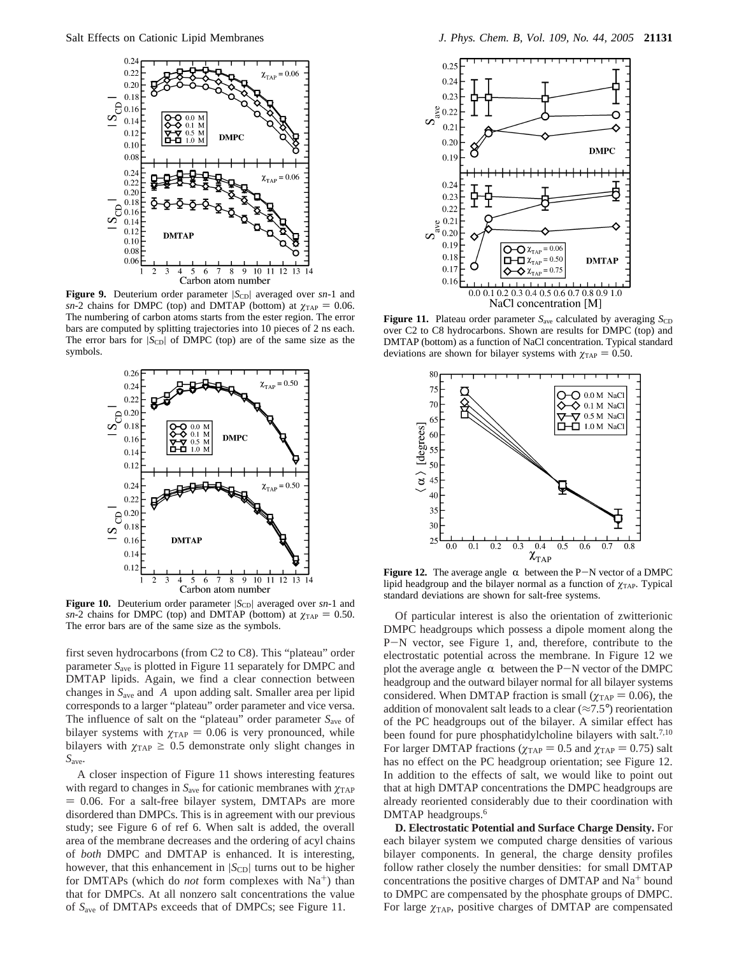

**Figure 9.** Deuterium order parameter  $|S_{CD}|$  averaged over *sn*-1 and *sn*-2 chains for DMPC (top) and DMTAP (bottom) at  $\chi_{TAP} = 0.06$ . The numbering of carbon atoms starts from the ester region. The error bars are computed by splitting trajectories into 10 pieces of 2 ns each. The error bars for  $|S_{CD}|$  of DMPC (top) are of the same size as the symbols.



**Figure 10.** Deuterium order parameter  $|S_{CD}|$  averaged over *sn*-1 and *sn*-2 chains for DMPC (top) and DMTAP (bottom) at  $\chi_{TAP} = 0.50$ . The error bars are of the same size as the symbols.

first seven hydrocarbons (from C2 to C8). This "plateau" order parameter *S*ave is plotted in Figure 11 separately for DMPC and DMTAP lipids. Again, we find a clear connection between changes in  $S_{\text{ave}}$  and  $\langle A \rangle$  upon adding salt. Smaller area per lipid corresponds to a larger "plateau" order parameter and vice versa. The influence of salt on the "plateau" order parameter *S*ave of bilayer systems with  $\chi_{\text{TAP}} = 0.06$  is very pronounced, while bilayers with  $\chi_{\text{TAP}} \geq 0.5$  demonstrate only slight changes in *S*ave.

A closer inspection of Figure 11 shows interesting features with regard to changes in  $S_{ave}$  for cationic membranes with  $\chi_{TAP}$  $= 0.06$ . For a salt-free bilayer system, DMTAPs are more disordered than DMPCs. This is in agreement with our previous study; see Figure 6 of ref 6. When salt is added, the overall area of the membrane decreases and the ordering of acyl chains of *both* DMPC and DMTAP is enhanced. It is interesting, however, that this enhancement in  $|S_{CD}|$  turns out to be higher for DMTAPs (which do *not* form complexes with Na<sup>+</sup>) than that for DMPCs. At all nonzero salt concentrations the value of *S*ave of DMTAPs exceeds that of DMPCs; see Figure 11.



**Figure 11.** Plateau order parameter  $S_{ave}$  calculated by averaging  $S_{CD}$ over C2 to C8 hydrocarbons. Shown are results for DMPC (top) and DMTAP (bottom) as a function of NaCl concentration. Typical standard deviations are shown for bilayer systems with  $\chi_{\text{TAP}} = 0.50$ .



lipid headgroup and the bilayer normal as a function of  $\chi_{TAP}$ . Typical standard deviations are shown for salt-free systems.

Of particular interest is also the orientation of zwitterionic DMPC headgroups which possess a dipole moment along the <sup>P</sup>-N vector, see Figure 1, and, therefore, contribute to the electrostatic potential across the membrane. In Figure 12 we plot the average angle  $\langle \alpha \rangle$  between the P-N vector of the DMPC headgroup and the outward bilayer normal for all bilayer systems considered. When DMTAP fraction is small ( $\chi_{\text{TAP}} = 0.06$ ), the addition of monovalent salt leads to a clear ( $\approx 7.5^{\circ}$ ) reorientation of the PC headgroups out of the bilayer. A similar effect has been found for pure phosphatidylcholine bilayers with salt.<sup>7,10</sup> For larger DMTAP fractions ( $\chi_{\text{TAP}} = 0.5$  and  $\chi_{\text{TAP}} = 0.75$ ) salt has no effect on the PC headgroup orientation; see Figure 12. In addition to the effects of salt, we would like to point out that at high DMTAP concentrations the DMPC headgroups are already reoriented considerably due to their coordination with DMTAP headgroups.<sup>6</sup>

**D. Electrostatic Potential and Surface Charge Density.** For each bilayer system we computed charge densities of various bilayer components. In general, the charge density profiles follow rather closely the number densities: for small DMTAP concentrations the positive charges of DMTAP and  $Na<sup>+</sup>$  bound to DMPC are compensated by the phosphate groups of DMPC. For large *ø*TAP, positive charges of DMTAP are compensated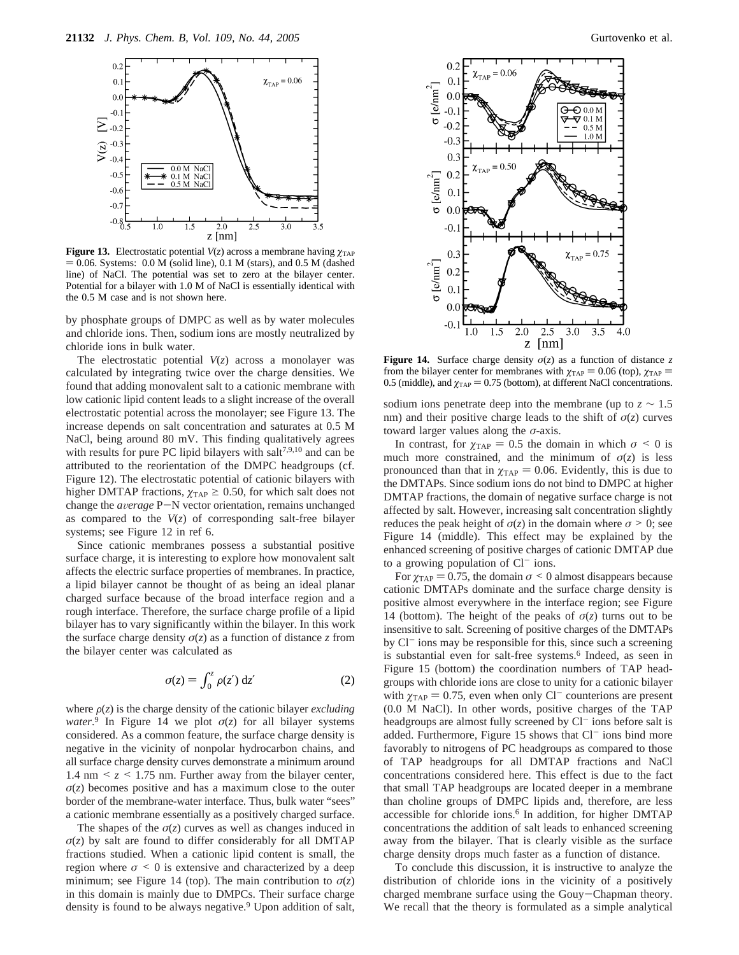

**Figure 13.** Electrostatic potential  $V(z)$  across a membrane having  $\chi_{\text{TAP}}$  $= 0.06$ . Systems: 0.0 M (solid line), 0.1 M (stars), and 0.5 M (dashed line) of NaCl. The potential was set to zero at the bilayer center. Potential for a bilayer with 1.0 M of NaCl is essentially identical with the 0.5 M case and is not shown here.

by phosphate groups of DMPC as well as by water molecules and chloride ions. Then, sodium ions are mostly neutralized by chloride ions in bulk water.

The electrostatic potential  $V(z)$  across a monolayer was calculated by integrating twice over the charge densities. We found that adding monovalent salt to a cationic membrane with low cationic lipid content leads to a slight increase of the overall electrostatic potential across the monolayer; see Figure 13. The increase depends on salt concentration and saturates at 0.5 M NaCl, being around 80 mV. This finding qualitatively agrees with results for pure PC lipid bilayers with salt<sup>7,9,10</sup> and can be attributed to the reorientation of the DMPC headgroups (cf. Figure 12). The electrostatic potential of cationic bilayers with higher DMTAP fractions,  $\gamma_{\text{TAP}} \geq 0.50$ , for which salt does not change the *average* P-N vector orientation, remains unchanged as compared to the  $V(z)$  of corresponding salt-free bilayer systems; see Figure 12 in ref 6.

Since cationic membranes possess a substantial positive surface charge, it is interesting to explore how monovalent salt affects the electric surface properties of membranes. In practice, a lipid bilayer cannot be thought of as being an ideal planar charged surface because of the broad interface region and a rough interface. Therefore, the surface charge profile of a lipid bilayer has to vary significantly within the bilayer. In this work the surface charge density  $\sigma(z)$  as a function of distance *z* from the bilayer center was calculated as

$$
\sigma(z) = \int_0^z \rho(z') \, \mathrm{d}z' \tag{2}
$$

where  $\rho(z)$  is the charge density of the cationic bilayer *excluding water*.<sup>9</sup> In Figure 14 we plot  $\sigma(z)$  for all bilayer systems considered. As a common feature, the surface charge density is negative in the vicinity of nonpolar hydrocarbon chains, and all surface charge density curves demonstrate a minimum around 1.4 nm  $\le z \le 1.75$  nm. Further away from the bilayer center,  $\sigma(z)$  becomes positive and has a maximum close to the outer border of the membrane-water interface. Thus, bulk water "sees" a cationic membrane essentially as a positively charged surface.

The shapes of the  $\sigma(z)$  curves as well as changes induced in  $\sigma(z)$  by salt are found to differ considerably for all DMTAP fractions studied. When a cationic lipid content is small, the region where  $\sigma \leq 0$  is extensive and characterized by a deep minimum; see Figure 14 (top). The main contribution to  $\sigma(z)$ in this domain is mainly due to DMPCs. Their surface charge density is found to be always negative.<sup>9</sup> Upon addition of salt,



**Figure 14.** Surface charge density  $\sigma(z)$  as a function of distance *z* from the bilayer center for membranes with  $\chi_{\text{TAP}} = 0.06$  (top),  $\chi_{\text{TAP}} =$ 0.5 (middle), and  $\chi_{\text{TAP}} = 0.75$  (bottom), at different NaCl concentrations.

sodium ions penetrate deep into the membrane (up to  $z \sim 1.5$ nm) and their positive charge leads to the shift of  $\sigma(z)$  curves toward larger values along the *σ*-axis.

In contrast, for  $\chi_{TAP} = 0.5$  the domain in which  $\sigma \leq 0$  is much more constrained, and the minimum of  $\sigma(z)$  is less pronounced than that in  $\chi_{\text{TAP}} = 0.06$ . Evidently, this is due to the DMTAPs. Since sodium ions do not bind to DMPC at higher DMTAP fractions, the domain of negative surface charge is not affected by salt. However, increasing salt concentration slightly reduces the peak height of  $\sigma(z)$  in the domain where  $\sigma > 0$ ; see Figure 14 (middle). This effect may be explained by the enhanced screening of positive charges of cationic DMTAP due to a growing population of  $Cl^-$  ions.

For  $\gamma_{\text{TAP}} = 0.75$ , the domain  $\sigma \leq 0$  almost disappears because cationic DMTAPs dominate and the surface charge density is positive almost everywhere in the interface region; see Figure 14 (bottom). The height of the peaks of  $\sigma(z)$  turns out to be insensitive to salt. Screening of positive charges of the DMTAPs by Cl<sup>-</sup> ions may be responsible for this, since such a screening is substantial even for salt-free systems.<sup>6</sup> Indeed, as seen in Figure 15 (bottom) the coordination numbers of TAP headgroups with chloride ions are close to unity for a cationic bilayer with  $\chi_{\text{TAP}} = 0.75$ , even when only Cl<sup>-</sup> counterions are present (0.0 M NaCl). In other words, positive charges of the TAP headgroups are almost fully screened by  $Cl^-$  ions before salt is added. Furthermore, Figure 15 shows that  $Cl^-$  ions bind more favorably to nitrogens of PC headgroups as compared to those of TAP headgroups for all DMTAP fractions and NaCl concentrations considered here. This effect is due to the fact that small TAP headgroups are located deeper in a membrane than choline groups of DMPC lipids and, therefore, are less accessible for chloride ions.<sup>6</sup> In addition, for higher DMTAP concentrations the addition of salt leads to enhanced screening away from the bilayer. That is clearly visible as the surface charge density drops much faster as a function of distance.

To conclude this discussion, it is instructive to analyze the distribution of chloride ions in the vicinity of a positively charged membrane surface using the Gouy-Chapman theory. We recall that the theory is formulated as a simple analytical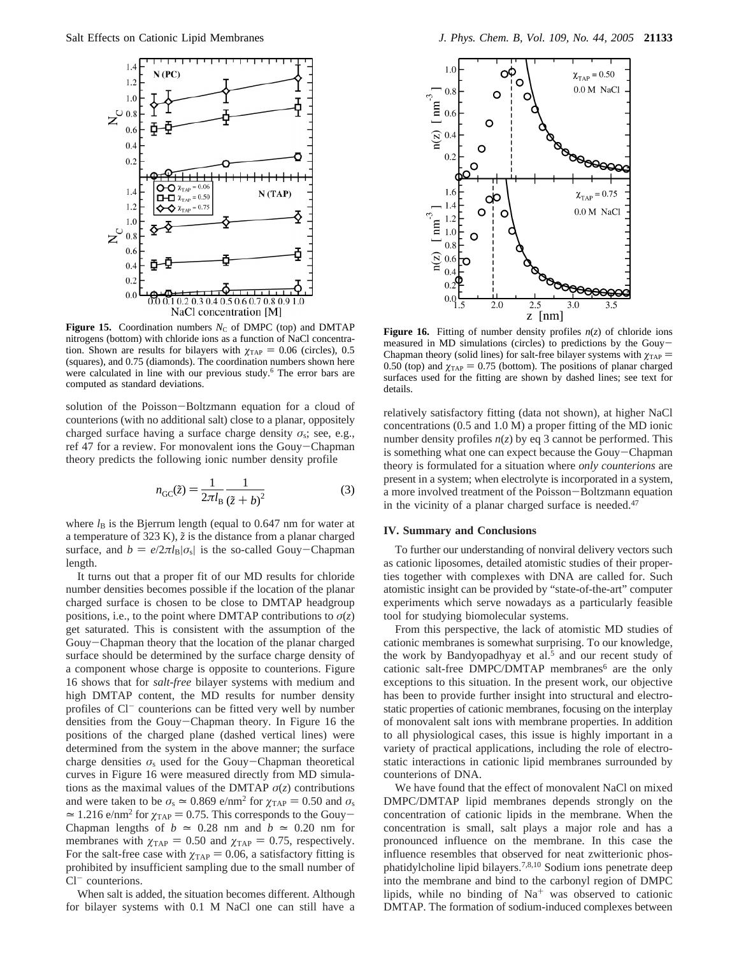

**Figure 15.** Coordination numbers  $N_c$  of DMPC (top) and DMTAP nitrogens (bottom) with chloride ions as a function of NaCl concentration. Shown are results for bilayers with  $\gamma_{\text{TAP}} = 0.06$  (circles), 0.5 (squares), and 0.75 (diamonds). The coordination numbers shown here were calculated in line with our previous study.<sup>6</sup> The error bars are computed as standard deviations.

solution of the Poisson-Boltzmann equation for a cloud of counterions (with no additional salt) close to a planar, oppositely charged surface having a surface charge density  $\sigma_s$ ; see, e.g., ref 47 for a review. For monovalent ions the Gouy-Chapman theory predicts the following ionic number density profile

$$
n_{\rm GC}(\tilde{z}) = \frac{1}{2\pi l_{\rm B}} \frac{1}{\left(\tilde{z} + b\right)^2} \tag{3}
$$

where  $l_B$  is the Bjerrum length (equal to 0.647 nm for water at a temperature of 323 K),  $\tilde{z}$  is the distance from a planar charged surface, and  $b = e/2\pi l_B |\sigma_s|$  is the so-called Gouy-Chapman length.

It turns out that a proper fit of our MD results for chloride number densities becomes possible if the location of the planar charged surface is chosen to be close to DMTAP headgroup positions, i.e., to the point where DMTAP contributions to  $\sigma(z)$ get saturated. This is consistent with the assumption of the Gouy-Chapman theory that the location of the planar charged surface should be determined by the surface charge density of a component whose charge is opposite to counterions. Figure 16 shows that for *salt-free* bilayer systems with medium and high DMTAP content, the MD results for number density profiles of Cl<sup>-</sup> counterions can be fitted very well by number densities from the Gouy-Chapman theory. In Figure 16 the positions of the charged plane (dashed vertical lines) were determined from the system in the above manner; the surface charge densities  $\sigma_s$  used for the Gouy-Chapman theoretical curves in Figure 16 were measured directly from MD simulations as the maximal values of the DMTAP  $\sigma(z)$  contributions and were taken to be  $\sigma_s \approx 0.869 \text{ e/mm}^2$  for  $\chi_{\text{TAP}} = 0.50$  and  $\sigma_s$  $\simeq 1.216$  e/nm<sup>2</sup> for  $\chi_{\text{TAP}} = 0.75$ . This corresponds to the Gouy-Chapman lengths of  $b \approx 0.28$  nm and  $b \approx 0.20$  nm for membranes with  $\chi_{\text{TAP}} = 0.50$  and  $\chi_{\text{TAP}} = 0.75$ , respectively. For the salt-free case with  $\chi_{\text{TAP}} = 0.06$ , a satisfactory fitting is prohibited by insufficient sampling due to the small number of  $Cl^-$  counterions.

When salt is added, the situation becomes different. Although for bilayer systems with 0.1 M NaCl one can still have a



**Figure 16.** Fitting of number density profiles *n*(*z*) of chloride ions measured in MD simulations (circles) to predictions by the Gouy-Chapman theory (solid lines) for salt-free bilayer systems with  $\chi_{\rm TAP} =$ 0.50 (top) and  $\chi_{\text{TAP}} = 0.75$  (bottom). The positions of planar charged surfaces used for the fitting are shown by dashed lines; see text for details.

relatively satisfactory fitting (data not shown), at higher NaCl concentrations (0.5 and 1.0 M) a proper fitting of the MD ionic number density profiles  $n(z)$  by eq 3 cannot be performed. This is something what one can expect because the Gouy-Chapman theory is formulated for a situation where *only counterions* are present in a system; when electrolyte is incorporated in a system, a more involved treatment of the Poisson-Boltzmann equation in the vicinity of a planar charged surface is needed.<sup>47</sup>

#### **IV. Summary and Conclusions**

To further our understanding of nonviral delivery vectors such as cationic liposomes, detailed atomistic studies of their properties together with complexes with DNA are called for. Such atomistic insight can be provided by "state-of-the-art" computer experiments which serve nowadays as a particularly feasible tool for studying biomolecular systems.

From this perspective, the lack of atomistic MD studies of cationic membranes is somewhat surprising. To our knowledge, the work by Bandyopadhyay et al.<sup>5</sup> and our recent study of cationic salt-free DMPC/DMTAP membranes<sup>6</sup> are the only exceptions to this situation. In the present work, our objective has been to provide further insight into structural and electrostatic properties of cationic membranes, focusing on the interplay of monovalent salt ions with membrane properties. In addition to all physiological cases, this issue is highly important in a variety of practical applications, including the role of electrostatic interactions in cationic lipid membranes surrounded by counterions of DNA.

We have found that the effect of monovalent NaCl on mixed DMPC/DMTAP lipid membranes depends strongly on the concentration of cationic lipids in the membrane. When the concentration is small, salt plays a major role and has a pronounced influence on the membrane. In this case the influence resembles that observed for neat zwitterionic phosphatidylcholine lipid bilayers.7,8,10 Sodium ions penetrate deep into the membrane and bind to the carbonyl region of DMPC lipids, while no binding of  $Na<sup>+</sup>$  was observed to cationic DMTAP. The formation of sodium-induced complexes between